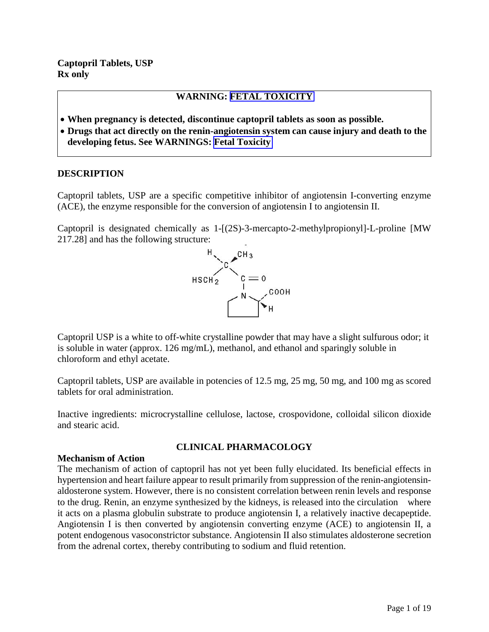**Captopril Tablets, USP Rx only** 

# **WARNING: [FETAL TOXICITY](#page-7-0)**

- **When pregnancy is detected, discontinue captopril tablets as soon as possible.**
- **Drugs that act directly on the renin-angiotensin system can cause injury and death to the developing fetus. See WARNINGS: [Fetal Toxicity](#page-7-0)**

## **DESCRIPTION**

Captopril tablets, USP are a specific competitive inhibitor of angiotensin I-converting enzyme (ACE), the enzyme responsible for the conversion of angiotensin I to angiotensin II.

Captopril is designated chemically as 1-[(2S)-3-mercapto-2-methylpropionyl]-L-proline [MW 217.28] and has the following structure:

<span id="page-0-0"></span>

Captopril USP is a white to off-white crystalline powder that may have a slight sulfurous odor; it is soluble in water (approx. 126 mg/mL), methanol, and ethanol and sparingly soluble in chloroform and ethyl acetate.

Captopril tablets, USP are available in potencies of 12.5 mg, 25 mg, 50 mg, and 100 mg as scored tablets for oral administration.

Inactive ingredients: microcrystalline cellulose, lactose, crospovidone, colloidal silicon dioxide and stearic acid.

# **CLINICAL PHARMACOLOGY**

#### **Mechanism of Action**

The mechanism of action of captopril has not yet been fully elucidated. Its beneficial effects in hypertension and heart failure appear to result primarily from suppression of the renin-angiotensinaldosterone system. However, there is no consistent correlation between renin levels and response to the drug. Renin, an enzyme synthesized by the kidneys, is released into the circulation where it acts on a plasma globulin substrate to produce angiotensin I, a relatively inactive decapeptide. Angiotensin I is then converted by angiotensin converting enzyme (ACE) to angiotensin II, a potent endogenous vasoconstrictor substance. Angiotensin II also stimulates aldosterone secretion from the adrenal cortex, thereby contributing to sodium and fluid retention.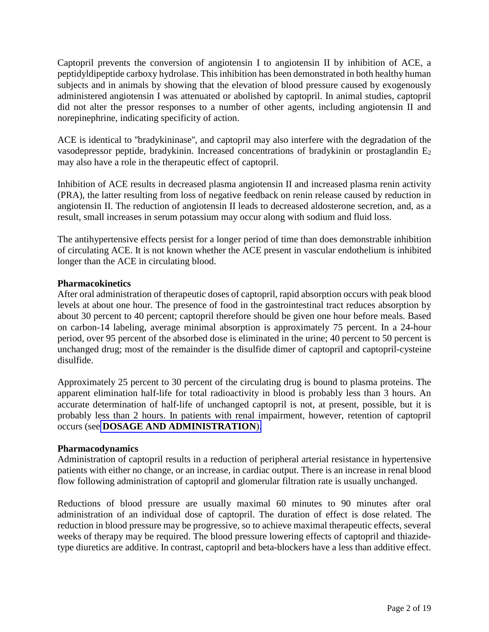Captopril prevents the conversion of angiotensin I to angiotensin II by inhibition of ACE, a peptidyldipeptide carboxy hydrolase. This inhibition has been demonstrated in both healthy human subjects and in animals by showing that the elevation of blood pressure caused by exogenously administered angiotensin I was attenuated or abolished by captopril. In animal studies, captopril did not alter the pressor responses to a number of other agents, including angiotensin II and norepinephrine, indicating specificity of action.

ACE is identical to ''bradykininase'', and captopril may also interfere with the degradation of the vasodepressor peptide, bradykinin. Increased concentrations of bradykinin or prostaglandin  $E_2$ may also have a role in the therapeutic effect of captopril.

Inhibition of ACE results in decreased plasma angiotensin II and increased plasma renin activity (PRA), the latter resulting from loss of negative feedback on renin release caused by reduction in angiotensin II. The reduction of angiotensin II leads to decreased aldosterone secretion, and, as a result, small increases in serum potassium may occur along with sodium and fluid loss.

The antihypertensive effects persist for a longer period of time than does demonstrable inhibition of circulating ACE. It is not known whether the ACE present in vascular endothelium is inhibited longer than the ACE in circulating blood.

# **Pharmacokinetics**

After oral administration of therapeutic doses of captopril, rapid absorption occurs with peak blood levels at about one hour. The presence of food in the gastrointestinal tract reduces absorption by about 30 percent to 40 percent; captopril therefore should be given one hour before meals. Based on carbon-14 labeling, average minimal absorption is approximately 75 percent. In a 24-hour period, over 95 percent of the absorbed dose is eliminated in the urine; 40 percent to 50 percent is unchanged drug; most of the remainder is the disulfide dimer of captopril and captopril-cysteine disulfide.

Approximately 25 percent to 30 percent of the circulating drug is bound to plasma proteins. The apparent elimination half-life for total radioactivity in blood is probably less than 3 hours. An accurate determination of half-life of unchanged captopril is not, at present, possible, but it is probably less than 2 hours. In patients with renal impairment, however, retention of captopril occurs (see **[DOSAGE AND ADMINISTRATION](#page-15-0)**).

## **Pharmacodynamics**

Administration of captopril results in a reduction of peripheral arterial resistance in hypertensive patients with either no change, or an increase, in cardiac output. There is an increase in renal blood flow following administration of captopril and glomerular filtration rate is usually unchanged.

Reductions of blood pressure are usually maximal 60 minutes to 90 minutes after oral administration of an individual dose of captopril. The duration of effect is dose related. The reduction in blood pressure may be progressive, so to achieve maximal therapeutic effects, several weeks of therapy may be required. The blood pressure lowering effects of captopril and thiazidetype diuretics are additive. In contrast, captopril and beta-blockers have a less than additive effect.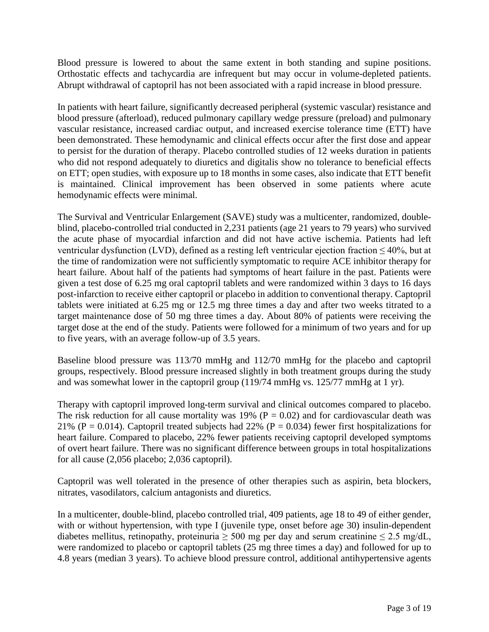Blood pressure is lowered to about the same extent in both standing and supine positions. Orthostatic effects and tachycardia are infrequent but may occur in volume-depleted patients. Abrupt withdrawal of captopril has not been associated with a rapid increase in blood pressure.

In patients with heart failure, significantly decreased peripheral (systemic vascular) resistance and blood pressure (afterload), reduced pulmonary capillary wedge pressure (preload) and pulmonary vascular resistance, increased cardiac output, and increased exercise tolerance time (ETT) have been demonstrated. These hemodynamic and clinical effects occur after the first dose and appear to persist for the duration of therapy. Placebo controlled studies of 12 weeks duration in patients who did not respond adequately to diuretics and digitalis show no tolerance to beneficial effects on ETT; open studies, with exposure up to 18 months in some cases, also indicate that ETT benefit is maintained. Clinical improvement has been observed in some patients where acute hemodynamic effects were minimal.

The Survival and Ventricular Enlargement (SAVE) study was a multicenter, randomized, doubleblind, placebo-controlled trial conducted in 2,231 patients (age 21 years to 79 years) who survived the acute phase of myocardial infarction and did not have active ischemia. Patients had left ventricular dysfunction (LVD), defined as a resting left ventricular ejection fraction  $\leq 40\%$ , but at the time of randomization were not sufficiently symptomatic to require ACE inhibitor therapy for heart failure. About half of the patients had symptoms of heart failure in the past. Patients were given a test dose of 6.25 mg oral captopril tablets and were randomized within 3 days to 16 days post-infarction to receive either captopril or placebo in addition to conventional therapy. Captopril tablets were initiated at 6.25 mg or 12.5 mg three times a day and after two weeks titrated to a target maintenance dose of 50 mg three times a day. About 80% of patients were receiving the target dose at the end of the study. Patients were followed for a minimum of two years and for up to five years, with an average follow-up of 3.5 years.

Baseline blood pressure was 113/70 mmHg and 112/70 mmHg for the placebo and captopril groups, respectively. Blood pressure increased slightly in both treatment groups during the study and was somewhat lower in the captopril group (119/74 mmHg vs. 125/77 mmHg at 1 yr).

Therapy with captopril improved long-term survival and clinical outcomes compared to placebo. The risk reduction for all cause mortality was 19% ( $P = 0.02$ ) and for cardiovascular death was 21% (P = 0.014). Captopril treated subjects had 22% (P = 0.034) fewer first hospitalizations for heart failure. Compared to placebo, 22% fewer patients receiving captopril developed symptoms of overt heart failure. There was no significant difference between groups in total hospitalizations for all cause (2,056 placebo; 2,036 captopril).

Captopril was well tolerated in the presence of other therapies such as aspirin, beta blockers, nitrates, vasodilators, calcium antagonists and diuretics.

In a multicenter, double-blind, placebo controlled trial, 409 patients, age 18 to 49 of either gender, with or without hypertension, with type I (juvenile type, onset before age 30) insulin-dependent diabetes mellitus, retinopathy, proteinuria  $\geq 500$  mg per day and serum creatinine  $\leq 2.5$  mg/dL, were randomized to placebo or captopril tablets (25 mg three times a day) and followed for up to 4.8 years (median 3 years). To achieve blood pressure control, additional antihypertensive agents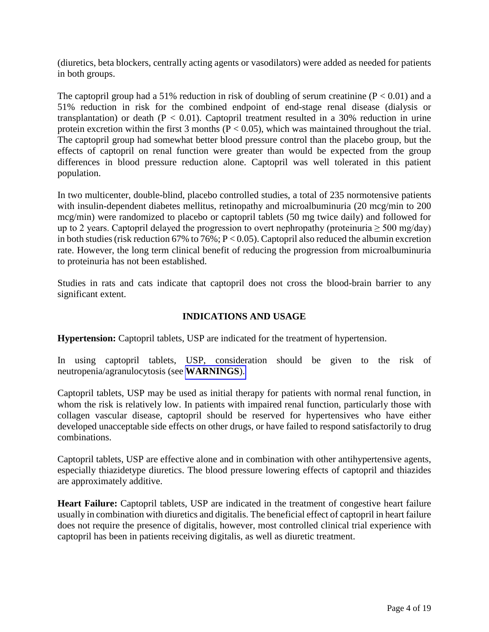(diuretics, beta blockers, centrally acting agents or vasodilators) were added as needed for patients in both groups.

The captopril group had a 51% reduction in risk of doubling of serum creatinine ( $P < 0.01$ ) and a 51% reduction in risk for the combined endpoint of end-stage renal disease (dialysis or transplantation) or death ( $P < 0.01$ ). Captopril treatment resulted in a 30% reduction in urine protein excretion within the first 3 months ( $P < 0.05$ ), which was maintained throughout the trial. The captopril group had somewhat better blood pressure control than the placebo group, but the effects of captopril on renal function were greater than would be expected from the group differences in blood pressure reduction alone. Captopril was well tolerated in this patient population.

In two multicenter, double-blind, placebo controlled studies, a total of 235 normotensive patients with insulin-dependent diabetes mellitus, retinopathy and microalbuminuria (20 mcg/min to 200 mcg/min) were randomized to placebo or captopril tablets (50 mg twice daily) and followed for up to 2 years. Captopril delayed the progression to overt nephropathy (proteinuria  $\geq 500$  mg/day) in both studies (risk reduction 67% to 76%; P < 0.05). Captopril also reduced the albumin excretion rate. However, the long term clinical benefit of reducing the progression from microalbuminuria to proteinuria has not been established.

Studies in rats and cats indicate that captopril does not cross the blood-brain barrier to any significant extent.

# **INDICATIONS AND USAGE**

**Hypertension:** Captopril tablets, USP are indicated for the treatment of hypertension.

In using captopril tablets, USP, consideration should be given to the risk of neutropenia/agranulocytosis (see **[WARNINGS](#page-4-0)**).

Captopril tablets, USP may be used as initial therapy for patients with normal renal function, in whom the risk is relatively low. In patients with impaired renal function, particularly those with collagen vascular disease, captopril should be reserved for hypertensives who have either developed unacceptable side effects on other drugs, or have failed to respond satisfactorily to drug combinations.

Captopril tablets, USP are effective alone and in combination with other antihypertensive agents, especially thiazidetype diuretics. The blood pressure lowering effects of captopril and thiazides are approximately additive.

**Heart Failure:** Captopril tablets, USP are indicated in the treatment of congestive heart failure usually in combination with diuretics and digitalis. The beneficial effect of captopril in heart failure does not require the presence of digitalis, however, most controlled clinical trial experience with captopril has been in patients receiving digitalis, as well as diuretic treatment.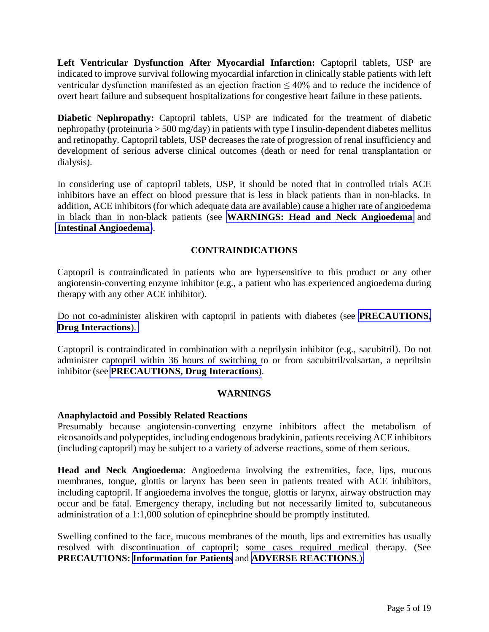**Left Ventricular Dysfunction After Myocardial Infarction:** Captopril tablets, USP are indicated to improve survival following myocardial infarction in clinically stable patients with left ventricular dysfunction manifested as an ejection fraction  $\leq 40\%$  and to reduce the incidence of overt heart failure and subsequent hospitalizations for congestive heart failure in these patients.

**Diabetic Nephropathy:** Captopril tablets, USP are indicated for the treatment of diabetic nephropathy (proteinuria > 500 mg/day) in patients with type I insulin-dependent diabetes mellitus and retinopathy. Captopril tablets, USP decreases the rate of progression of renal insufficiency and development of serious adverse clinical outcomes (death or need for renal transplantation or dialysis).

In considering use of captopril tablets, USP, it should be noted that in controlled trials ACE inhibitors have an effect on blood pressure that is less in black patients than in non-blacks. In addition, ACE inhibitors (for which adequate data are available) cause a higher rate of angioedema in black than in non-black patients (see **[WARNINGS: Head and Neck Angioedema](#page-4-0)** and **[Intestinal Angioedema](#page-5-0)**).

# <span id="page-4-0"></span>**CONTRAINDICATIONS**

Captopril is contraindicated in patients who are hypersensitive to this product or any other angiotensin-converting enzyme inhibitor (e.g., a patient who has experienced angioedema during therapy with any other ACE inhibitor).

Do not co-administer aliskiren with captopril in patients with diabetes (see **[PRECAUTIONS,](#page-10-0) [Drug Interactions](#page-10-0)**).

Captopril is contraindicated in combination with a neprilysin inhibitor (e.g., sacubitril). Do not administer captopril within 36 hours of switching to or from sacubitril/valsartan, a nepriltsin inhibitor (see **[PRECAUTIONS, Drug Interactions](#page-10-0)**).

## **WARNINGS**

#### **Anaphylactoid and Possibly Related Reactions**

Presumably because angiotensin-converting enzyme inhibitors affect the metabolism of eicosanoids and polypeptides, including endogenous bradykinin, patients receiving ACE inhibitors (including captopril) may be subject to a variety of adverse reactions, some of them serious.

**Head and Neck Angioedema**: Angioedema involving the extremities, face, lips, mucous membranes, tongue, glottis or larynx has been seen in patients treated with ACE inhibitors, including captopril. If angioedema involves the tongue, glottis or larynx, airway obstruction may occur and be fatal. Emergency therapy, including but not necessarily limited to, subcutaneous administration of a 1:1,000 solution of epinephrine should be promptly instituted.

Swelling confined to the face, mucous membranes of the mouth, lips and extremities has usually resolved with discontinuation of captopril; some cases required medical therapy. (See **PRECAUTIONS: [Information for Patients](#page-9-0)** and **[ADVERSE REACTIONS](#page-13-0)**.)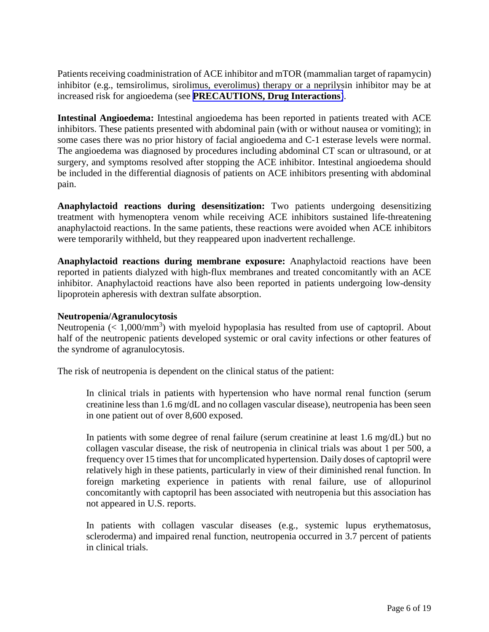<span id="page-5-1"></span><span id="page-5-0"></span>Patients receiving coadministration of ACE inhibitor and mTOR (mammalian target of rapamycin) inhibitor (e.g., temsirolimus, sirolimus, everolimus) therapy or a neprilysin inhibitor may be at increased risk for angioedema (see **[PRECAUTIONS, Drug Interactions](#page-10-0)**).

**Intestinal Angioedema:** Intestinal angioedema has been reported in patients treated with ACE inhibitors. These patients presented with abdominal pain (with or without nausea or vomiting); in some cases there was no prior history of facial angioedema and C-1 esterase levels were normal. The angioedema was diagnosed by procedures including abdominal CT scan or ultrasound, or at surgery, and symptoms resolved after stopping the ACE inhibitor. Intestinal angioedema should be included in the differential diagnosis of patients on ACE inhibitors presenting with abdominal pain.

**Anaphylactoid reactions during desensitization:** Two patients undergoing desensitizing treatment with hymenoptera venom while receiving ACE inhibitors sustained life-threatening anaphylactoid reactions. In the same patients, these reactions were avoided when ACE inhibitors were temporarily withheld, but they reappeared upon inadvertent rechallenge.

**Anaphylactoid reactions during membrane exposure:** Anaphylactoid reactions have been reported in patients dialyzed with high-flux membranes and treated concomitantly with an ACE inhibitor. Anaphylactoid reactions have also been reported in patients undergoing low-density lipoprotein apheresis with dextran sulfate absorption.

## **Neutropenia/Agranulocytosis**

Neutropenia  $(< 1,000/\text{mm}^3)$  with myeloid hypoplasia has resulted from use of captopril. About half of the neutropenic patients developed systemic or oral cavity infections or other features of the syndrome of agranulocytosis.

The risk of neutropenia is dependent on the clinical status of the patient:

In clinical trials in patients with hypertension who have normal renal function (serum creatinine less than 1.6 mg/dL and no collagen vascular disease), neutropenia has been seen in one patient out of over 8,600 exposed.

In patients with some degree of renal failure (serum creatinine at least 1.6 mg/dL) but no collagen vascular disease, the risk of neutropenia in clinical trials was about 1 per 500, a frequency over 15 times that for uncomplicated hypertension. Daily doses of captopril were relatively high in these patients, particularly in view of their diminished renal function. In foreign marketing experience in patients with renal failure, use of allopurinol concomitantly with captopril has been associated with neutropenia but this association has not appeared in U.S. reports.

In patients with collagen vascular diseases (e.g., systemic lupus erythematosus, scleroderma) and impaired renal function, neutropenia occurred in 3.7 percent of patients in clinical trials.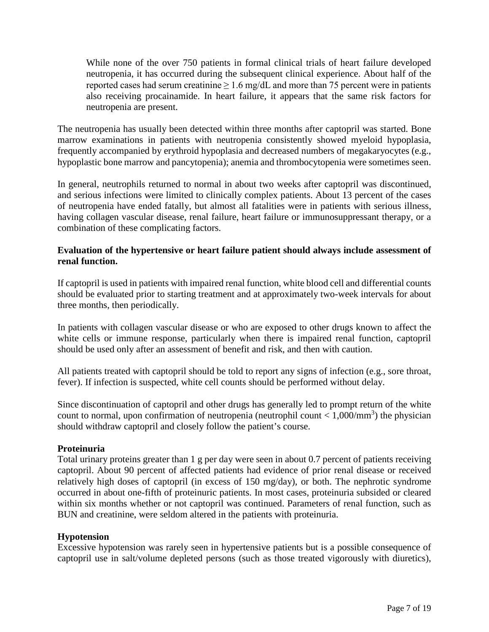While none of the over 750 patients in formal clinical trials of heart failure developed neutropenia, it has occurred during the subsequent clinical experience. About half of the reported cases had serum creatinine  $\geq 1.6$  mg/dL and more than 75 percent were in patients also receiving procainamide. In heart failure, it appears that the same risk factors for neutropenia are present.

The neutropenia has usually been detected within three months after captopril was started. Bone marrow examinations in patients with neutropenia consistently showed myeloid hypoplasia, frequently accompanied by erythroid hypoplasia and decreased numbers of megakaryocytes (e.g., hypoplastic bone marrow and pancytopenia); anemia and thrombocytopenia were sometimes seen.

In general, neutrophils returned to normal in about two weeks after captopril was discontinued, and serious infections were limited to clinically complex patients. About 13 percent of the cases of neutropenia have ended fatally, but almost all fatalities were in patients with serious illness, having collagen vascular disease, renal failure, heart failure or immunosuppressant therapy, or a combination of these complicating factors.

# <span id="page-6-0"></span>**Evaluation of the hypertensive or heart failure patient should always include assessment of renal function.**

If captopril is used in patients with impaired renal function, white blood cell and differential counts should be evaluated prior to starting treatment and at approximately two-week intervals for about three months, then periodically.

In patients with collagen vascular disease or who are exposed to other drugs known to affect the white cells or immune response, particularly when there is impaired renal function, captopril should be used only after an assessment of benefit and risk, and then with caution.

All patients treated with captopril should be told to report any signs of infection (e.g., sore throat, fever). If infection is suspected, white cell counts should be performed without delay.

Since discontinuation of captopril and other drugs has generally led to prompt return of the white count to normal, upon confirmation of neutropenia (neutrophil count  $< 1,000/\text{mm}^3$ ) the physician should withdraw captopril and closely follow the patient's course.

## **Proteinuria**

Total urinary proteins greater than 1 g per day were seen in about 0.7 percent of patients receiving captopril. About 90 percent of affected patients had evidence of prior renal disease or received relatively high doses of captopril (in excess of 150 mg/day), or both. The nephrotic syndrome occurred in about one-fifth of proteinuric patients. In most cases, proteinuria subsided or cleared within six months whether or not captopril was continued. Parameters of renal function, such as BUN and creatinine, were seldom altered in the patients with proteinuria.

# **Hypotension**

Excessive hypotension was rarely seen in hypertensive patients but is a possible consequence of captopril use in salt/volume depleted persons (such as those treated vigorously with diuretics),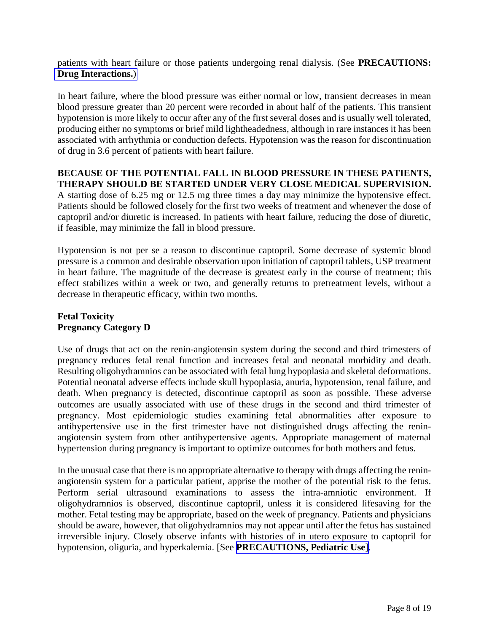patients with heart failure or those patients undergoing renal dialysis. (See **PRECAUTIONS: [Drug Interactions.](#page-10-0)**)

In heart failure, where the blood pressure was either normal or low, transient decreases in mean blood pressure greater than 20 percent were recorded in about half of the patients. This transient hypotension is more likely to occur after any of the first several doses and is usually well tolerated, producing either no symptoms or brief mild lightheadedness, although in rare instances it has been associated with arrhythmia or conduction defects. Hypotension was the reason for discontinuation of drug in 3.6 percent of patients with heart failure.

#### <span id="page-7-0"></span>**BECAUSE OF THE POTENTIAL FALL IN BLOOD PRESSURE IN THESE PATIENTS, THERAPY SHOULD BE STARTED UNDER VERY CLOSE MEDICAL SUPERVISION.**

A starting dose of 6.25 mg or 12.5 mg three times a day may minimize the hypotensive effect. Patients should be followed closely for the first two weeks of treatment and whenever the dose of captopril and/or diuretic is increased. In patients with heart failure, reducing the dose of diuretic, if feasible, may minimize the fall in blood pressure.

Hypotension is not per se a reason to discontinue captopril. Some decrease of systemic blood pressure is a common and desirable observation upon initiation of captopril tablets, USP treatment in heart failure. The magnitude of the decrease is greatest early in the course of treatment; this effect stabilizes within a week or two, and generally returns to pretreatment levels, without a decrease in therapeutic efficacy, within two months.

# **Fetal Toxicity Pregnancy Category D**

Use of drugs that act on the renin-angiotensin system during the second and third trimesters of pregnancy reduces fetal renal function and increases fetal and neonatal morbidity and death. Resulting oligohydramnios can be associated with fetal lung hypoplasia and skeletal deformations. Potential neonatal adverse effects include skull hypoplasia, anuria, hypotension, renal failure, and death. When pregnancy is detected, discontinue captopril as soon as possible. These adverse outcomes are usually associated with use of these drugs in the second and third trimester of pregnancy. Most epidemiologic studies examining fetal abnormalities after exposure to antihypertensive use in the first trimester have not distinguished drugs affecting the reninangiotensin system from other antihypertensive agents. Appropriate management of maternal hypertension during pregnancy is important to optimize outcomes for both mothers and fetus.

In the unusual case that there is no appropriate alternative to therapy with drugs affecting the reninangiotensin system for a particular patient, apprise the mother of the potential risk to the fetus. Perform serial ultrasound examinations to assess the intra-amniotic environment. If oligohydramnios is observed, discontinue captopril, unless it is considered lifesaving for the mother. Fetal testing may be appropriate, based on the week of pregnancy. Patients and physicians should be aware, however, that oligohydramnios may not appear until after the fetus has sustained irreversible injury. Closely observe infants with histories of in utero exposure to captopril for hypotension, oliguria, and hyperkalemia. [See **[PRECAUTIONS, Pediatric Use](#page-12-0)**].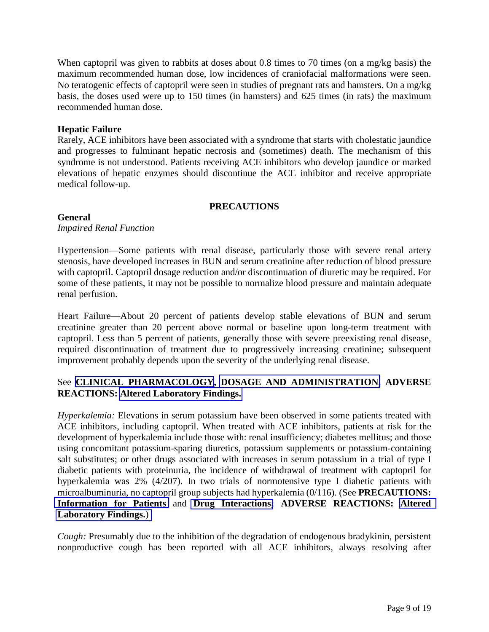When captopril was given to rabbits at doses about 0.8 times to 70 times (on a mg/kg basis) the maximum recommended human dose, low incidences of craniofacial malformations were seen. No teratogenic effects of captopril were seen in studies of pregnant rats and hamsters. On a mg/kg basis, the doses used were up to 150 times (in hamsters) and 625 times (in rats) the maximum recommended human dose.

## **Hepatic Failure**

Rarely, ACE inhibitors have been associated with a syndrome that starts with cholestatic jaundice and progresses to fulminant hepatic necrosis and (sometimes) death. The mechanism of this syndrome is not understood. Patients receiving ACE inhibitors who develop jaundice or marked elevations of hepatic enzymes should discontinue the ACE inhibitor and receive appropriate medical follow-up.

# <span id="page-8-0"></span>**PRECAUTIONS**

# **General**

## *Impaired Renal Function*

Hypertension—Some patients with renal disease, particularly those with severe renal artery stenosis, have developed increases in BUN and serum creatinine after reduction of blood pressure with captopril. Captopril dosage reduction and/or discontinuation of diuretic may be required. For some of these patients, it may not be possible to normalize blood pressure and maintain adequate renal perfusion.

Heart Failure—About 20 percent of patients develop stable elevations of BUN and serum creatinine greater than 20 percent above normal or baseline upon long-term treatment with captopril. Less than 5 percent of patients, generally those with severe preexisting renal disease, required discontinuation of treatment due to progressively increasing creatinine; subsequent improvement probably depends upon the severity of the underlying renal disease.

# See **[CLINICAL PHARMACOLOGY](#page-0-0), [DOSAGE AND ADMINISTRATION,](#page-15-0) ADVERSE REACTIONS: [Altered Laboratory Findings.](#page-15-1)**

*Hyperkalemia:* Elevations in serum potassium have been observed in some patients treated with ACE inhibitors, including captopril. When treated with ACE inhibitors, patients at risk for the development of hyperkalemia include those with: renal insufficiency; diabetes mellitus; and those using concomitant potassium-sparing diuretics, potassium supplements or potassium-containing salt substitutes; or other drugs associated with increases in serum potassium in a trial of type I diabetic patients with proteinuria, the incidence of withdrawal of treatment with captopril for hyperkalemia was 2% (4/207). In two trials of normotensive type I diabetic patients with microalbuminuria, no captopril group subjects had hyperkalemia (0/116). (See **PRECAUTIONS: [Information for Patients](#page-9-0)** and **[Drug Interactions;](#page-9-1) ADVERSE REACTIONS: [Altered](#page-15-1)  [Laboratory Findings.](#page-15-1)**)

*Cough:* Presumably due to the inhibition of the degradation of endogenous bradykinin, persistent nonproductive cough has been reported with all ACE inhibitors, always resolving after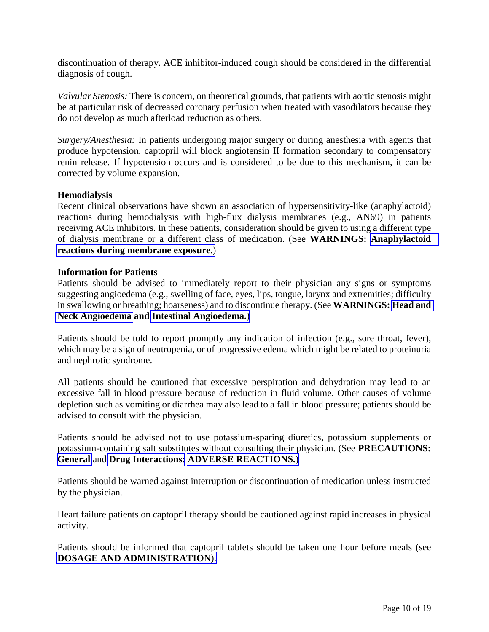<span id="page-9-2"></span><span id="page-9-1"></span>discontinuation of therapy. ACE inhibitor-induced cough should be considered in the differential diagnosis of cough.

<span id="page-9-0"></span>*Valvular Stenosis:* There is concern, on theoretical grounds, that patients with aortic stenosis might be at particular risk of decreased coronary perfusion when treated with vasodilators because they do not develop as much afterload reduction as others.

*Surgery/Anesthesia:* In patients undergoing major surgery or during anesthesia with agents that produce hypotension, captopril will block angiotensin II formation secondary to compensatory renin release. If hypotension occurs and is considered to be due to this mechanism, it can be corrected by volume expansion.

## **Hemodialysis**

Recent clinical observations have shown an association of hypersensitivity-like (anaphylactoid) reactions during hemodialysis with high-flux dialysis membranes (e.g., AN69) in patients receiving ACE inhibitors. In these patients, consideration should be given to using a different type of dialysis membrane or a different class of medication. (See **WARNINGS: [Anaphylactoid](#page-5-1)  [reactions during membrane exposure.](#page-5-1)**)

#### **Information for Patients**

Patients should be advised to immediately report to their physician any signs or symptoms suggesting angioedema (e.g., swelling of face, eyes, lips, tongue, larynx and extremities; difficulty in swallowing or breathing; hoarseness) and to discontinue therapy. (See **WARNINGS: [Head and](#page-4-0)  [Neck Angioedema](#page-4-0) and [Intestinal Angioedema.](#page-4-0)**)

Patients should be told to report promptly any indication of infection (e.g., sore throat, fever), which may be a sign of neutropenia, or of progressive edema which might be related to proteinuria and nephrotic syndrome.

All patients should be cautioned that excessive perspiration and dehydration may lead to an excessive fall in blood pressure because of reduction in fluid volume. Other causes of volume depletion such as vomiting or diarrhea may also lead to a fall in blood pressure; patients should be advised to consult with the physician.

Patients should be advised not to use potassium-sparing diuretics, potassium supplements or potassium-containing salt substitutes without consulting their physician. (See **PRECAUTIONS: [General](#page-8-0)** and **[Drug Interactions;](#page-9-1) [ADVERSE REACTIONS.](#page-13-0)**)

Patients should be warned against interruption or discontinuation of medication unless instructed by the physician.

Heart failure patients on captopril therapy should be cautioned against rapid increases in physical activity.

Patients should be informed that captopril tablets should be taken one hour before meals (see **[DOSAGE AND ADMINISTRATION](#page-15-0)**).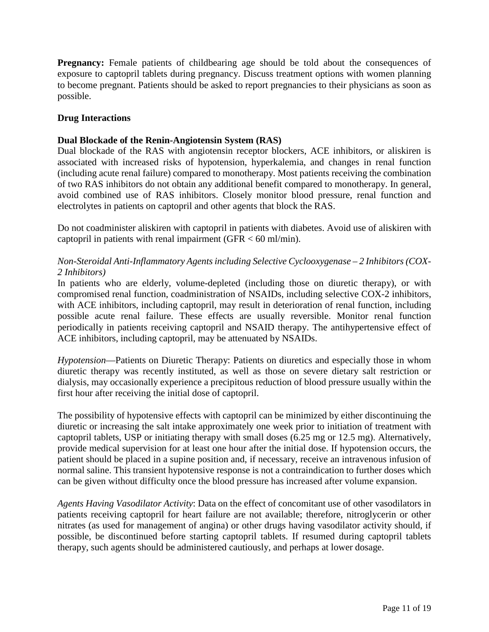<span id="page-10-0"></span>**Pregnancy:** Female patients of childbearing age should be told about the consequences of exposure to captopril tablets during pregnancy. Discuss treatment options with women planning to become pregnant. Patients should be asked to report pregnancies to their physicians as soon as possible.

# **Drug Interactions**

## **Dual Blockade of the Renin-Angiotensin System (RAS)**

Dual blockade of the RAS with angiotensin receptor blockers, ACE inhibitors, or aliskiren is associated with increased risks of hypotension, hyperkalemia, and changes in renal function (including acute renal failure) compared to monotherapy. Most patients receiving the combination of two RAS inhibitors do not obtain any additional benefit compared to monotherapy. In general, avoid combined use of RAS inhibitors. Closely monitor blood pressure, renal function and electrolytes in patients on captopril and other agents that block the RAS.

Do not coadminister aliskiren with captopril in patients with diabetes. Avoid use of aliskiren with captopril in patients with renal impairment (GFR  $<$  60 ml/min).

# *Non-Steroidal Anti-Inflammatory Agents including Selective Cyclooxygenase – 2 Inhibitors (COX-2 Inhibitors)*

In patients who are elderly, volume-depleted (including those on diuretic therapy), or with compromised renal function, coadministration of NSAIDs, including selective COX-2 inhibitors, with ACE inhibitors, including captopril, may result in deterioration of renal function, including possible acute renal failure. These effects are usually reversible. Monitor renal function periodically in patients receiving captopril and NSAID therapy. The antihypertensive effect of ACE inhibitors, including captopril, may be attenuated by NSAIDs.

*Hypotension*—Patients on Diuretic Therapy: Patients on diuretics and especially those in whom diuretic therapy was recently instituted, as well as those on severe dietary salt restriction or dialysis, may occasionally experience a precipitous reduction of blood pressure usually within the first hour after receiving the initial dose of captopril.

The possibility of hypotensive effects with captopril can be minimized by either discontinuing the diuretic or increasing the salt intake approximately one week prior to initiation of treatment with captopril tablets, USP or initiating therapy with small doses (6.25 mg or 12.5 mg). Alternatively, provide medical supervision for at least one hour after the initial dose. If hypotension occurs, the patient should be placed in a supine position and, if necessary, receive an intravenous infusion of normal saline. This transient hypotensive response is not a contraindication to further doses which can be given without difficulty once the blood pressure has increased after volume expansion.

*Agents Having Vasodilator Activity*: Data on the effect of concomitant use of other vasodilators in patients receiving captopril for heart failure are not available; therefore, nitroglycerin or other nitrates (as used for management of angina) or other drugs having vasodilator activity should, if possible, be discontinued before starting captopril tablets. If resumed during captopril tablets therapy, such agents should be administered cautiously, and perhaps at lower dosage.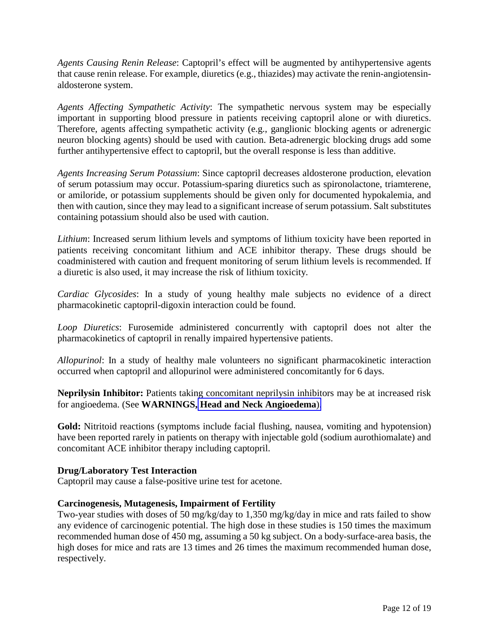*Agents Causing Renin Release*: Captopril's effect will be augmented by antihypertensive agents that cause renin release. For example, diuretics (e.g., thiazides) may activate the renin-angiotensinaldosterone system.

*Agents Affecting Sympathetic Activity*: The sympathetic nervous system may be especially important in supporting blood pressure in patients receiving captopril alone or with diuretics. Therefore, agents affecting sympathetic activity (e.g., ganglionic blocking agents or adrenergic neuron blocking agents) should be used with caution. Beta-adrenergic blocking drugs add some further antihypertensive effect to captopril, but the overall response is less than additive.

*Agents Increasing Serum Potassium*: Since captopril decreases aldosterone production, elevation of serum potassium may occur. Potassium-sparing diuretics such as spironolactone, triamterene, or amiloride, or potassium supplements should be given only for documented hypokalemia, and then with caution, since they may lead to a significant increase of serum potassium. Salt substitutes containing potassium should also be used with caution.

*Lithium*: Increased serum lithium levels and symptoms of lithium toxicity have been reported in patients receiving concomitant lithium and ACE inhibitor therapy. These drugs should be coadministered with caution and frequent monitoring of serum lithium levels is recommended. If a diuretic is also used, it may increase the risk of lithium toxicity.

*Cardiac Glycosides*: In a study of young healthy male subjects no evidence of a direct pharmacokinetic captopril-digoxin interaction could be found.

*Loop Diuretics*: Furosemide administered concurrently with captopril does not alter the pharmacokinetics of captopril in renally impaired hypertensive patients.

*Allopurinol*: In a study of healthy male volunteers no significant pharmacokinetic interaction occurred when captopril and allopurinol were administered concomitantly for 6 days.

**Neprilysin Inhibitor:** Patients taking concomitant neprilysin inhibitors may be at increased risk for angioedema. (See **WARNINGS, [Head and Neck Angioedema](#page-4-0)**).

**Gold:** Nitritoid reactions (symptoms include facial flushing, nausea, vomiting and hypotension) have been reported rarely in patients on therapy with injectable gold (sodium aurothiomalate) and concomitant ACE inhibitor therapy including captopril.

## **Drug/Laboratory Test Interaction**

Captopril may cause a false-positive urine test for acetone.

## **Carcinogenesis, Mutagenesis, Impairment of Fertility**

Two-year studies with doses of 50 mg/kg/day to 1,350 mg/kg/day in mice and rats failed to show any evidence of carcinogenic potential. The high dose in these studies is 150 times the maximum recommended human dose of 450 mg, assuming a 50 kg subject. On a body-surface-area basis, the high doses for mice and rats are 13 times and 26 times the maximum recommended human dose, respectively.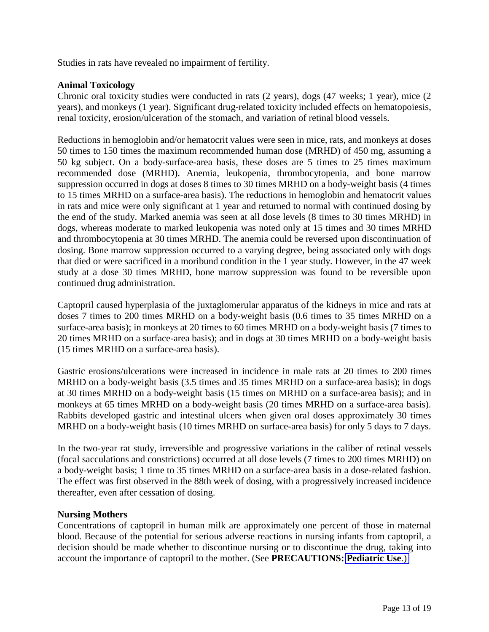Studies in rats have revealed no impairment of fertility.

# **Animal Toxicology**

Chronic oral toxicity studies were conducted in rats (2 years), dogs (47 weeks; 1 year), mice (2 years), and monkeys (1 year). Significant drug-related toxicity included effects on hematopoiesis, renal toxicity, erosion/ulceration of the stomach, and variation of retinal blood vessels.

<span id="page-12-0"></span>Reductions in hemoglobin and/or hematocrit values were seen in mice, rats, and monkeys at doses 50 times to 150 times the maximum recommended human dose (MRHD) of 450 mg, assuming a 50 kg subject. On a body-surface-area basis, these doses are 5 times to 25 times maximum recommended dose (MRHD). Anemia, leukopenia, thrombocytopenia, and bone marrow suppression occurred in dogs at doses 8 times to 30 times MRHD on a body-weight basis (4 times to 15 times MRHD on a surface-area basis). The reductions in hemoglobin and hematocrit values in rats and mice were only significant at 1 year and returned to normal with continued dosing by the end of the study. Marked anemia was seen at all dose levels (8 times to 30 times MRHD) in dogs, whereas moderate to marked leukopenia was noted only at 15 times and 30 times MRHD and thrombocytopenia at 30 times MRHD. The anemia could be reversed upon discontinuation of dosing. Bone marrow suppression occurred to a varying degree, being associated only with dogs that died or were sacrificed in a moribund condition in the 1 year study. However, in the 47 week study at a dose 30 times MRHD, bone marrow suppression was found to be reversible upon continued drug administration.

Captopril caused hyperplasia of the juxtaglomerular apparatus of the kidneys in mice and rats at doses 7 times to 200 times MRHD on a body-weight basis (0.6 times to 35 times MRHD on a surface-area basis); in monkeys at 20 times to 60 times MRHD on a body-weight basis (7 times to 20 times MRHD on a surface-area basis); and in dogs at 30 times MRHD on a body-weight basis (15 times MRHD on a surface-area basis).

Gastric erosions/ulcerations were increased in incidence in male rats at 20 times to 200 times MRHD on a body-weight basis (3.5 times and 35 times MRHD on a surface-area basis); in dogs at 30 times MRHD on a body-weight basis (15 times on MRHD on a surface-area basis); and in monkeys at 65 times MRHD on a body-weight basis (20 times MRHD on a surface-area basis). Rabbits developed gastric and intestinal ulcers when given oral doses approximately 30 times MRHD on a body-weight basis (10 times MRHD on surface-area basis) for only 5 days to 7 days.

In the two-year rat study, irreversible and progressive variations in the caliber of retinal vessels (focal sacculations and constrictions) occurred at all dose levels (7 times to 200 times MRHD) on a body-weight basis; 1 time to 35 times MRHD on a surface-area basis in a dose-related fashion. The effect was first observed in the 88th week of dosing, with a progressively increased incidence thereafter, even after cessation of dosing.

## **Nursing Mothers**

Concentrations of captopril in human milk are approximately one percent of those in maternal blood. Because of the potential for serious adverse reactions in nursing infants from captopril, a decision should be made whether to discontinue nursing or to discontinue the drug, taking into account the importance of captopril to the mother. (See **PRECAUTIONS: [Pediatric Use](#page-13-1)**.)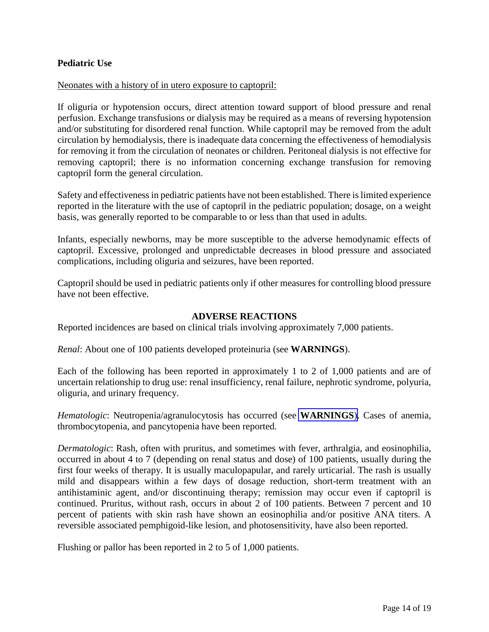## **Pediatric Use**

#### Neonates with a history of in utero exposure to captopril:

If oliguria or hypotension occurs, direct attention toward support of blood pressure and renal perfusion. Exchange transfusions or dialysis may be required as a means of reversing hypotension and/or substituting for disordered renal function. While captopril may be removed from the adult circulation by hemodialysis, there is inadequate data concerning the effectiveness of hemodialysis for removing it from the circulation of neonates or children. Peritoneal dialysis is not effective for removing captopril; there is no information concerning exchange transfusion for removing captopril form the general circulation.

Safety and effectiveness in pediatric patients have not been established. There is limited experience reported in the literature with the use of captopril in the pediatric population; dosage, on a weight basis, was generally reported to be comparable to or less than that used in adults.

Infants, especially newborns, may be more susceptible to the adverse hemodynamic effects of captopril. Excessive, prolonged and unpredictable decreases in blood pressure and associated complications, including oliguria and seizures, have been reported.

Captopril should be used in pediatric patients only if other measures for controlling blood pressure have not been effective.

#### <span id="page-13-1"></span><span id="page-13-0"></span>**ADVERSE REACTIONS**

Reported incidences are based on clinical trials involving approximately 7,000 patients.

*Renal*: About one of 100 patients developed proteinuria (see **WARNINGS**).

Each of the following has been reported in approximately 1 to 2 of 1,000 patients and are of uncertain relationship to drug use: renal insufficiency, renal failure, nephrotic syndrome, polyuria, oliguria, and urinary frequency.

*Hematologic*: Neutropenia/agranulocytosis has occurred (see **[WARNINGS](#page-4-0)**). Cases of anemia, thrombocytopenia, and pancytopenia have been reported.

*Dermatologic*: Rash, often with pruritus, and sometimes with fever, arthralgia, and eosinophilia, occurred in about 4 to 7 (depending on renal status and dose) of 100 patients, usually during the first four weeks of therapy. It is usually maculopapular, and rarely urticarial. The rash is usually mild and disappears within a few days of dosage reduction, short-term treatment with an antihistaminic agent, and/or discontinuing therapy; remission may occur even if captopril is continued. Pruritus, without rash, occurs in about 2 of 100 patients. Between 7 percent and 10 percent of patients with skin rash have shown an eosinophilia and/or positive ANA titers. A reversible associated pemphigoid-like lesion, and photosensitivity, have also been reported.

Flushing or pallor has been reported in 2 to 5 of 1,000 patients.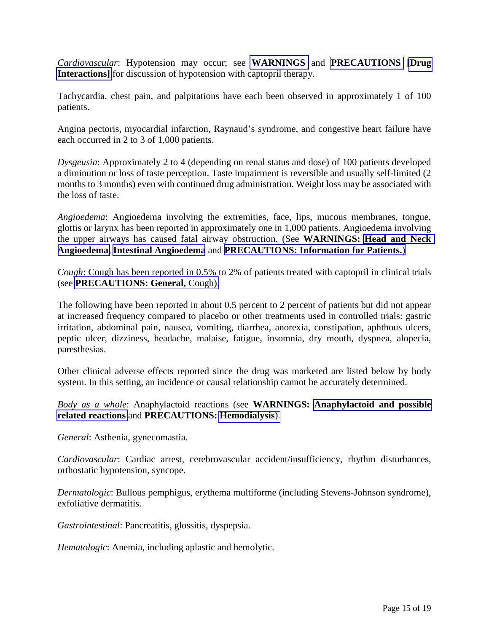*Cardiovascular*: Hypotension may occur; see **[WARNINGS](#page-4-0)** and **[PRECAUTIONS](#page-8-0) [\[Drug](#page-10-0)  [Interactions\]](#page-10-0)** for discussion of hypotension with captopril therapy.

Tachycardia, chest pain, and palpitations have each been observed in approximately 1 of 100 patients.

Angina pectoris, myocardial infarction, Raynaud's syndrome, and congestive heart failure have each occurred in 2 to 3 of 1,000 patients.

*Dysgeusia*: Approximately 2 to 4 (depending on renal status and dose) of 100 patients developed a diminution or loss of taste perception. Taste impairment is reversible and usually self-limited (2 months to 3 months) even with continued drug administration. Weight loss may be associated with the loss of taste.

*Angioedema*: Angioedema involving the extremities, face, lips, mucous membranes, tongue, glottis or larynx has been reported in approximately one in 1,000 patients. Angioedema involving the upper airways has caused fatal airway obstruction. (See **WARNINGS: [Head and Neck](#page-4-0)  [Angioedema,](#page-4-0) [Intestinal Angioedema](#page-5-0)** and **[PRECAUTIONS: Information for Patients.](#page-9-0)**)

*Cough*: Cough has been reported in 0.5% to 2% of patients treated with captopril in clinical trials (see **[PRECAUTIONS: General,](#page-8-0)** Cough).

The following have been reported in about 0.5 percent to 2 percent of patients but did not appear at increased frequency compared to placebo or other treatments used in controlled trials: gastric irritation, abdominal pain, nausea, vomiting, diarrhea, anorexia, constipation, aphthous ulcers, peptic ulcer, dizziness, headache, malaise, fatigue, insomnia, dry mouth, dyspnea, alopecia, paresthesias.

Other clinical adverse effects reported since the drug was marketed are listed below by body system. In this setting, an incidence or causal relationship cannot be accurately determined.

## *Body as a whole*: Anaphylactoid reactions (see **WARNINGS: [Anaphylactoid and possible](#page-4-0)  [related reactions](#page-4-0)** and **PRECAUTIONS: [Hemodialysis](#page-9-2)**).

*General*: Asthenia, gynecomastia.

*Cardiovascular*: Cardiac arrest, cerebrovascular accident/insufficiency, rhythm disturbances, orthostatic hypotension, syncope.

*Dermatologic*: Bullous pemphigus, erythema multiforme (including Stevens-Johnson syndrome), exfoliative dermatitis.

*Gastrointestinal*: Pancreatitis, glossitis, dyspepsia.

*Hematologic*: Anemia, including aplastic and hemolytic.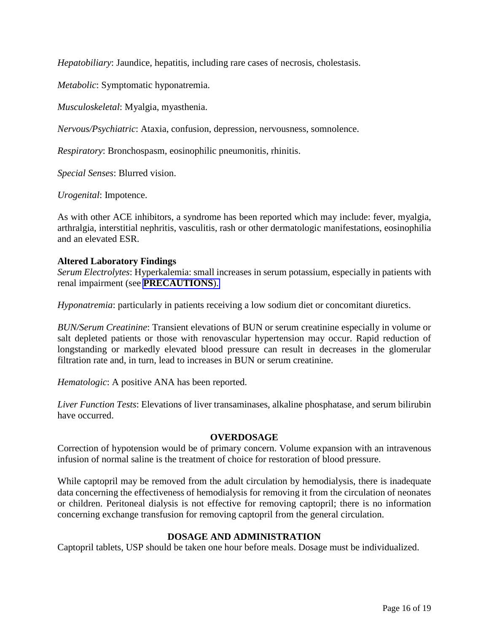<span id="page-15-1"></span><span id="page-15-0"></span>*Hepatobiliary*: Jaundice, hepatitis, including rare cases of necrosis, cholestasis.

*Metabolic*: Symptomatic hyponatremia.

*Musculoskeletal*: Myalgia, myasthenia.

*Nervous/Psychiatric*: Ataxia, confusion, depression, nervousness, somnolence.

*Respiratory*: Bronchospasm, eosinophilic pneumonitis, rhinitis.

*Special Senses*: Blurred vision.

*Urogenital*: Impotence.

As with other ACE inhibitors, a syndrome has been reported which may include: fever, myalgia, arthralgia, interstitial nephritis, vasculitis, rash or other dermatologic manifestations, eosinophilia and an elevated ESR.

#### **Altered Laboratory Findings**

*Serum Electrolytes*: Hyperkalemia: small increases in serum potassium, especially in patients with renal impairment (see **[PRECAUTIONS](#page-8-0)**).

*Hyponatremia*: particularly in patients receiving a low sodium diet or concomitant diuretics.

*BUN/Serum Creatinine*: Transient elevations of BUN or serum creatinine especially in volume or salt depleted patients or those with renovascular hypertension may occur. Rapid reduction of longstanding or markedly elevated blood pressure can result in decreases in the glomerular filtration rate and, in turn, lead to increases in BUN or serum creatinine.

*Hematologic*: A positive ANA has been reported.

*Liver Function Tests*: Elevations of liver transaminases, alkaline phosphatase, and serum bilirubin have occurred.

#### **OVERDOSAGE**

Correction of hypotension would be of primary concern. Volume expansion with an intravenous infusion of normal saline is the treatment of choice for restoration of blood pressure.

While captopril may be removed from the adult circulation by hemodialysis, there is inadequate data concerning the effectiveness of hemodialysis for removing it from the circulation of neonates or children. Peritoneal dialysis is not effective for removing captopril; there is no information concerning exchange transfusion for removing captopril from the general circulation.

# **DOSAGE AND ADMINISTRATION**

Captopril tablets, USP should be taken one hour before meals. Dosage must be individualized.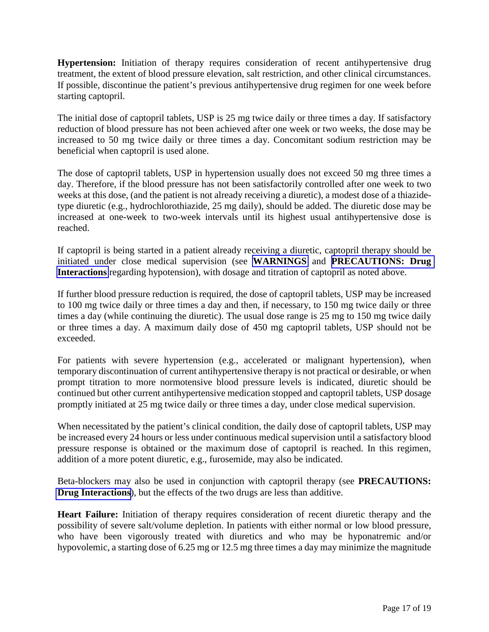**Hypertension:** Initiation of therapy requires consideration of recent antihypertensive drug treatment, the extent of blood pressure elevation, salt restriction, and other clinical circumstances. If possible, discontinue the patient's previous antihypertensive drug regimen for one week before starting captopril.

The initial dose of captopril tablets, USP is 25 mg twice daily or three times a day. If satisfactory reduction of blood pressure has not been achieved after one week or two weeks, the dose may be increased to 50 mg twice daily or three times a day. Concomitant sodium restriction may be beneficial when captopril is used alone.

The dose of captopril tablets, USP in hypertension usually does not exceed 50 mg three times a day. Therefore, if the blood pressure has not been satisfactorily controlled after one week to two weeks at this dose, (and the patient is not already receiving a diuretic), a modest dose of a thiazidetype diuretic (e.g., hydrochlorothiazide, 25 mg daily), should be added. The diuretic dose may be increased at one-week to two-week intervals until its highest usual antihypertensive dose is reached.

If captopril is being started in a patient already receiving a diuretic, captopril therapy should be initiated under close medical supervision (see **[WARNINGS](#page-4-0)** and **[PRECAUTIONS: Drug](#page-10-0)  [Interactions](#page-10-0)** regarding hypotension), with dosage and titration of captopril as noted above.

If further blood pressure reduction is required, the dose of captopril tablets, USP may be increased to 100 mg twice daily or three times a day and then, if necessary, to 150 mg twice daily or three times a day (while continuing the diuretic). The usual dose range is 25 mg to 150 mg twice daily or three times a day. A maximum daily dose of 450 mg captopril tablets, USP should not be exceeded.

For patients with severe hypertension (e.g., accelerated or malignant hypertension), when temporary discontinuation of current antihypertensive therapy is not practical or desirable, or when prompt titration to more normotensive blood pressure levels is indicated, diuretic should be continued but other current antihypertensive medication stopped and captopril tablets, USP dosage promptly initiated at 25 mg twice daily or three times a day, under close medical supervision.

When necessitated by the patient's clinical condition, the daily dose of captopril tablets, USP may be increased every 24 hours or less under continuous medical supervision until a satisfactory blood pressure response is obtained or the maximum dose of captopril is reached. In this regimen, addition of a more potent diuretic, e.g., furosemide, may also be indicated.

Beta-blockers may also be used in conjunction with captopril therapy (see **PRECAUTIONS: [Drug Interactions](#page-10-0)**), but the effects of the two drugs are less than additive.

**Heart Failure:** Initiation of therapy requires consideration of recent diuretic therapy and the possibility of severe salt/volume depletion. In patients with either normal or low blood pressure, who have been vigorously treated with diuretics and who may be hyponatremic and/or hypovolemic, a starting dose of 6.25 mg or 12.5 mg three times a day may minimize the magnitude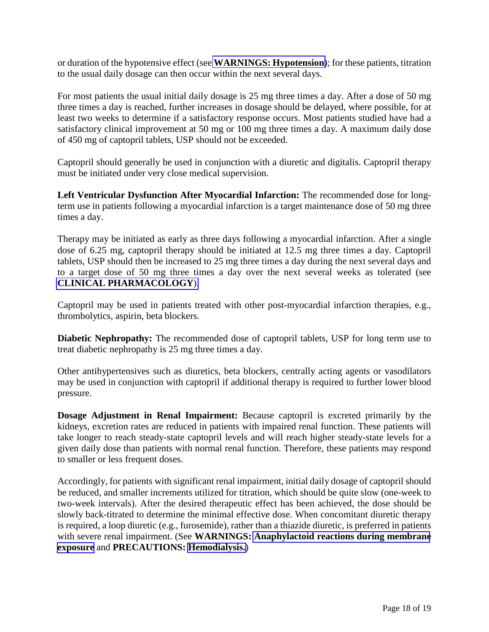or duration of the hypotensive effect (see **[WARNINGS: Hypotension](#page-6-0)**); for these patients, titration to the usual daily dosage can then occur within the next several days.

For most patients the usual initial daily dosage is 25 mg three times a day. After a dose of 50 mg three times a day is reached, further increases in dosage should be delayed, where possible, for at least two weeks to determine if a satisfactory response occurs. Most patients studied have had a satisfactory clinical improvement at 50 mg or 100 mg three times a day. A maximum daily dose of 450 mg of captopril tablets, USP should not be exceeded.

Captopril should generally be used in conjunction with a diuretic and digitalis. Captopril therapy must be initiated under very close medical supervision.

**Left Ventricular Dysfunction After Myocardial Infarction:** The recommended dose for longterm use in patients following a myocardial infarction is a target maintenance dose of 50 mg three times a day.

Therapy may be initiated as early as three days following a myocardial infarction. After a single dose of 6.25 mg, captopril therapy should be initiated at 12.5 mg three times a day. Captopril tablets, USP should then be increased to 25 mg three times a day during the next several days and to a target dose of 50 mg three times a day over the next several weeks as tolerated (see **[CLINICAL PHARMACOLOGY](#page-0-0)**).

Captopril may be used in patients treated with other post-myocardial infarction therapies, e.g., thrombolytics, aspirin, beta blockers.

**Diabetic Nephropathy:** The recommended dose of captopril tablets, USP for long term use to treat diabetic nephropathy is 25 mg three times a day.

Other antihypertensives such as diuretics, beta blockers, centrally acting agents or vasodilators may be used in conjunction with captopril if additional therapy is required to further lower blood pressure.

**Dosage Adjustment in Renal Impairment:** Because captopril is excreted primarily by the kidneys, excretion rates are reduced in patients with impaired renal function. These patients will take longer to reach steady-state captopril levels and will reach higher steady-state levels for a given daily dose than patients with normal renal function. Therefore, these patients may respond to smaller or less frequent doses.

Accordingly, for patients with significant renal impairment, initial daily dosage of captopril should be reduced, and smaller increments utilized for titration, which should be quite slow (one-week to two-week intervals). After the desired therapeutic effect has been achieved, the dose should be slowly back-titrated to determine the minimal effective dose. When concomitant diuretic therapy is required, a loop diuretic (e.g., furosemide), rather than a thiazide diuretic, is preferred in patients with severe renal impairment. (See **WARNINGS: [Anaphylactoid reactions during membrane](#page-5-0) [exposure](#page-5-1)** and **PRECAUTIONS: [Hemodialysis.](#page-9-2)**)